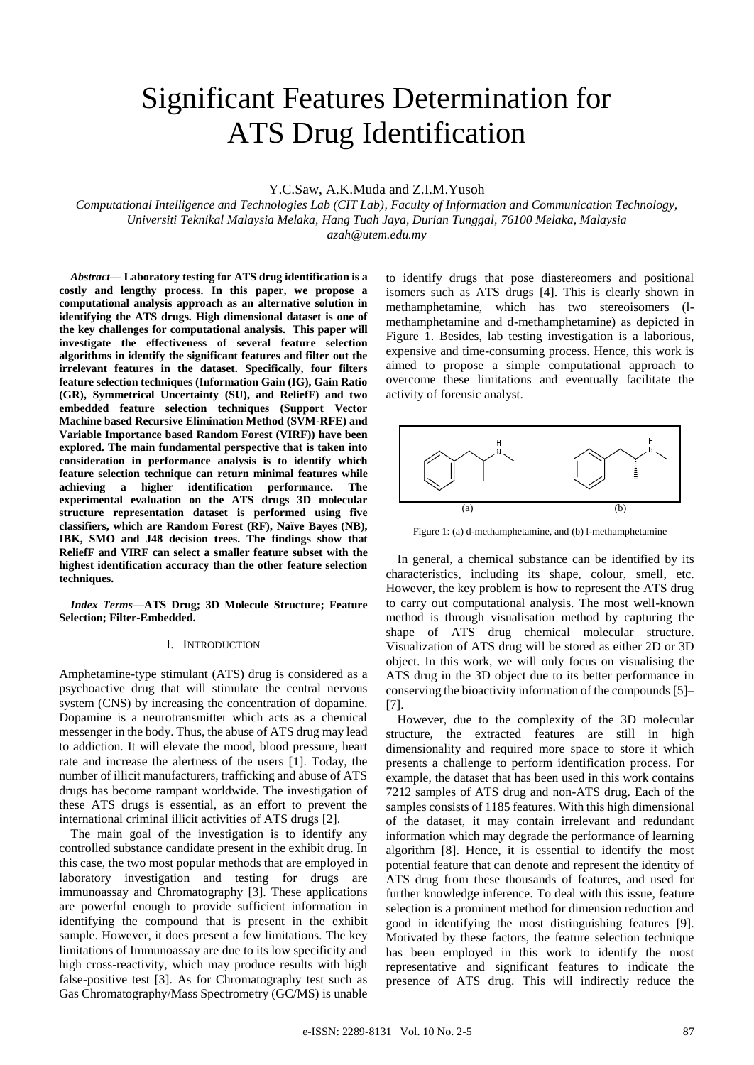# Significant Features Determination for ATS Drug Identification

Y.C.Saw, A.K.Muda and Z.I.M.Yusoh

*Computational Intelligence and Technologies Lab (CIT Lab), Faculty of Information and Communication Technology, Universiti Teknikal Malaysia Melaka, Hang Tuah Jaya, Durian Tunggal, 76100 Melaka, Malaysia azah@utem.edu.my*

*Abstract***— Laboratory testing for ATS drug identification is a costly and lengthy process. In this paper, we propose a computational analysis approach as an alternative solution in identifying the ATS drugs. High dimensional dataset is one of the key challenges for computational analysis. This paper will investigate the effectiveness of several feature selection algorithms in identify the significant features and filter out the irrelevant features in the dataset. Specifically, four filters feature selection techniques (Information Gain (IG), Gain Ratio (GR), Symmetrical Uncertainty (SU), and ReliefF) and two embedded feature selection techniques (Support Vector Machine based Recursive Elimination Method (SVM-RFE) and Variable Importance based Random Forest (VIRF)) have been explored. The main fundamental perspective that is taken into consideration in performance analysis is to identify which feature selection technique can return minimal features while achieving a higher identification performance. The experimental evaluation on the ATS drugs 3D molecular structure representation dataset is performed using five classifiers, which are Random Forest (RF), Naïve Bayes (NB), IBK, SMO and J48 decision trees. The findings show that ReliefF and VIRF can select a smaller feature subset with the highest identification accuracy than the other feature selection techniques.**

*Index Terms***—ATS Drug; 3D Molecule Structure; Feature Selection; Filter-Embedded.**

# I. INTRODUCTION

Amphetamine-type stimulant (ATS) drug is considered as a psychoactive drug that will stimulate the central nervous system (CNS) by increasing the concentration of dopamine. Dopamine is a neurotransmitter which acts as a chemical messenger in the body. Thus, the abuse of ATS drug may lead to addiction. It will elevate the mood, blood pressure, heart rate and increase the alertness of the users [1]. Today, the number of illicit manufacturers, trafficking and abuse of ATS drugs has become rampant worldwide. The investigation of these ATS drugs is essential, as an effort to prevent the international criminal illicit activities of ATS drugs [2].

The main goal of the investigation is to identify any controlled substance candidate present in the exhibit drug. In this case, the two most popular methods that are employed in laboratory investigation and testing for drugs are immunoassay and Chromatography [3]. These applications are powerful enough to provide sufficient information in identifying the compound that is present in the exhibit sample. However, it does present a few limitations. The key limitations of Immunoassay are due to its low specificity and high cross-reactivity, which may produce results with high false-positive test [3]. As for Chromatography test such as Gas Chromatography/Mass Spectrometry (GC/MS) is unable to identify drugs that pose diastereomers and positional isomers such as ATS drugs [4]. This is clearly shown in methamphetamine, which has two stereoisomers (lmethamphetamine and d-methamphetamine) as depicted in Figure 1. Besides, lab testing investigation is a laborious, expensive and time-consuming process. Hence, this work is aimed to propose a simple computational approach to overcome these limitations and eventually facilitate the activity of forensic analyst.



Figure 1: (a) d-methamphetamine, and (b) l-methamphetamine

In general, a chemical substance can be identified by its characteristics, including its shape, colour, smell, etc. However, the key problem is how to represent the ATS drug to carry out computational analysis. The most well-known method is through visualisation method by capturing the shape of ATS drug chemical molecular structure. Visualization of ATS drug will be stored as either 2D or 3D object. In this work, we will only focus on visualising the ATS drug in the 3D object due to its better performance in conserving the bioactivity information of the compounds [5]– [7].

However, due to the complexity of the 3D molecular structure, the extracted features are still in high dimensionality and required more space to store it which presents a challenge to perform identification process. For example, the dataset that has been used in this work contains 7212 samples of ATS drug and non-ATS drug. Each of the samples consists of 1185 features. With this high dimensional of the dataset, it may contain irrelevant and redundant information which may degrade the performance of learning algorithm [8]. Hence, it is essential to identify the most potential feature that can denote and represent the identity of ATS drug from these thousands of features, and used for further knowledge inference. To deal with this issue, feature selection is a prominent method for dimension reduction and good in identifying the most distinguishing features [9]. Motivated by these factors, the feature selection technique has been employed in this work to identify the most representative and significant features to indicate the presence of ATS drug. This will indirectly reduce the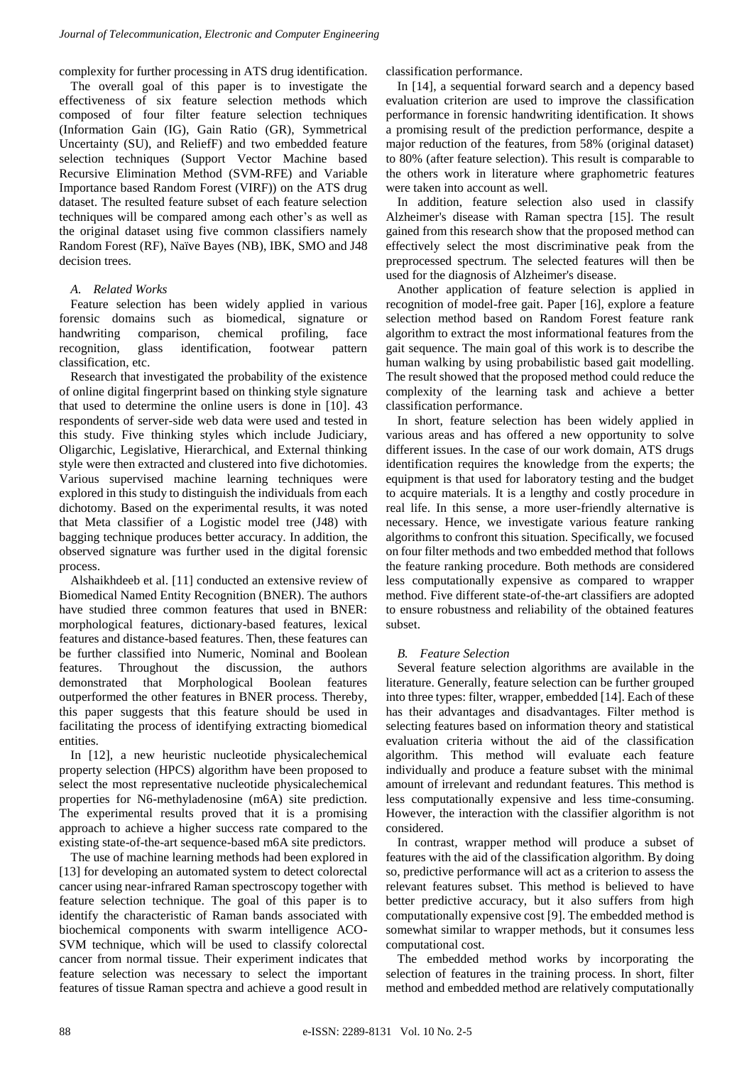complexity for further processing in ATS drug identification.

The overall goal of this paper is to investigate the effectiveness of six feature selection methods which composed of four filter feature selection techniques (Information Gain (IG), Gain Ratio (GR), Symmetrical Uncertainty (SU), and ReliefF) and two embedded feature selection techniques (Support Vector Machine based Recursive Elimination Method (SVM-RFE) and Variable Importance based Random Forest (VIRF)) on the ATS drug dataset. The resulted feature subset of each feature selection techniques will be compared among each other's as well as the original dataset using five common classifiers namely Random Forest (RF), Naïve Bayes (NB), IBK, SMO and J48 decision trees.

# *A. Related Works*

Feature selection has been widely applied in various forensic domains such as biomedical, signature or handwriting comparison, chemical profiling, face recognition, glass identification, footwear pattern classification, etc.

Research that investigated the probability of the existence of online digital fingerprint based on thinking style signature that used to determine the online users is done in [10]. 43 respondents of server-side web data were used and tested in this study. Five thinking styles which include Judiciary, Oligarchic, Legislative, Hierarchical, and External thinking style were then extracted and clustered into five dichotomies. Various supervised machine learning techniques were explored in this study to distinguish the individuals from each dichotomy. Based on the experimental results, it was noted that Meta classifier of a Logistic model tree (J48) with bagging technique produces better accuracy. In addition, the observed signature was further used in the digital forensic process.

Alshaikhdeeb et al. [11] conducted an extensive review of Biomedical Named Entity Recognition (BNER). The authors have studied three common features that used in BNER: morphological features, dictionary-based features, lexical features and distance-based features. Then, these features can be further classified into Numeric, Nominal and Boolean features. Throughout the discussion, the authors demonstrated that Morphological Boolean features outperformed the other features in BNER process. Thereby, this paper suggests that this feature should be used in facilitating the process of identifying extracting biomedical entities.

In [12], a new heuristic nucleotide physicalechemical property selection (HPCS) algorithm have been proposed to select the most representative nucleotide physicalechemical properties for N6-methyladenosine (m6A) site prediction. The experimental results proved that it is a promising approach to achieve a higher success rate compared to the existing state-of-the-art sequence-based m6A site predictors.

The use of machine learning methods had been explored in [13] for developing an automated system to detect colorectal cancer using near-infrared Raman spectroscopy together with feature selection technique. The goal of this paper is to identify the characteristic of Raman bands associated with biochemical components with swarm intelligence ACO-SVM technique, which will be used to classify colorectal cancer from normal tissue. Their experiment indicates that feature selection was necessary to select the important features of tissue Raman spectra and achieve a good result in classification performance.

In [14], a sequential forward search and a depency based evaluation criterion are used to improve the classification performance in forensic handwriting identification. It shows a promising result of the prediction performance, despite a major reduction of the features, from 58% (original dataset) to 80% (after feature selection). This result is comparable to the others work in literature where graphometric features were taken into account as well.

In addition, feature selection also used in classify Alzheimer's disease with Raman spectra [15]. The result gained from this research show that the proposed method can effectively select the most discriminative peak from the preprocessed spectrum. The selected features will then be used for the diagnosis of Alzheimer's disease.

Another application of feature selection is applied in recognition of model-free gait. Paper [16], explore a feature selection method based on Random Forest feature rank algorithm to extract the most informational features from the gait sequence. The main goal of this work is to describe the human walking by using probabilistic based gait modelling. The result showed that the proposed method could reduce the complexity of the learning task and achieve a better classification performance.

In short, feature selection has been widely applied in various areas and has offered a new opportunity to solve different issues. In the case of our work domain, ATS drugs identification requires the knowledge from the experts; the equipment is that used for laboratory testing and the budget to acquire materials. It is a lengthy and costly procedure in real life. In this sense, a more user-friendly alternative is necessary. Hence, we investigate various feature ranking algorithms to confront this situation. Specifically, we focused on four filter methods and two embedded method that follows the feature ranking procedure. Both methods are considered less computationally expensive as compared to wrapper method. Five different state-of-the-art classifiers are adopted to ensure robustness and reliability of the obtained features subset.

# *B. Feature Selection*

Several feature selection algorithms are available in the literature. Generally, feature selection can be further grouped into three types: filter, wrapper, embedded [14]. Each of these has their advantages and disadvantages. Filter method is selecting features based on information theory and statistical evaluation criteria without the aid of the classification algorithm. This method will evaluate each feature individually and produce a feature subset with the minimal amount of irrelevant and redundant features. This method is less computationally expensive and less time-consuming. However, the interaction with the classifier algorithm is not considered.

In contrast, wrapper method will produce a subset of features with the aid of the classification algorithm. By doing so, predictive performance will act as a criterion to assess the relevant features subset. This method is believed to have better predictive accuracy, but it also suffers from high computationally expensive cost [9]. The embedded method is somewhat similar to wrapper methods, but it consumes less computational cost.

The embedded method works by incorporating the selection of features in the training process. In short, filter method and embedded method are relatively computationally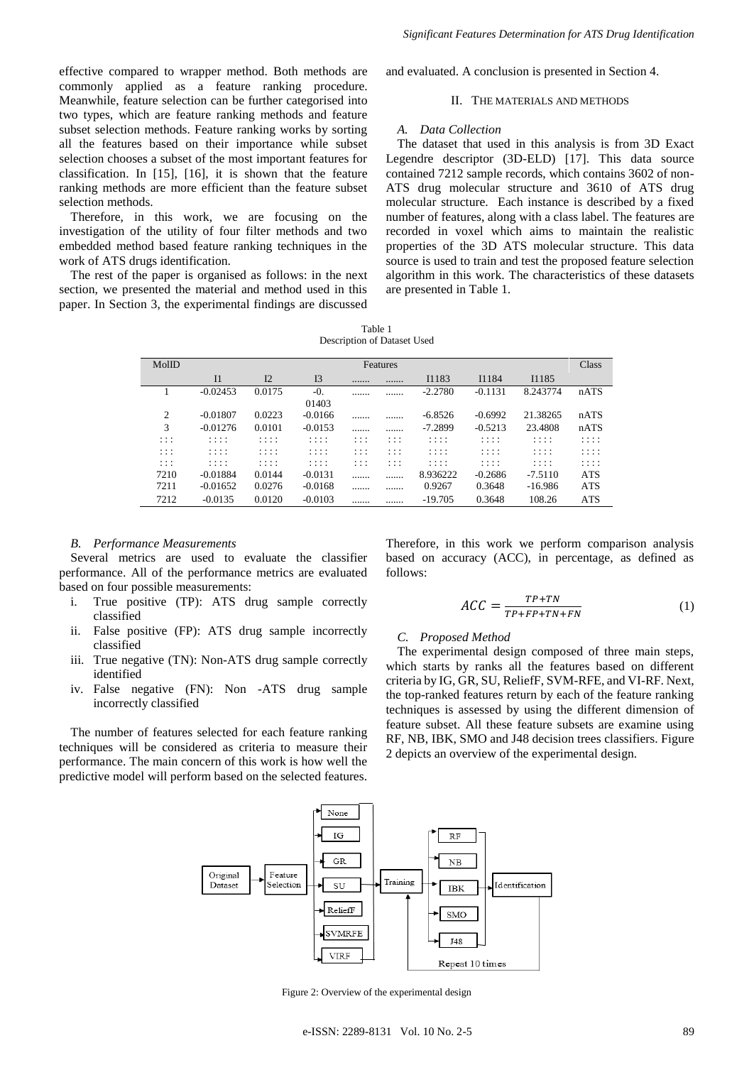effective compared to wrapper method. Both methods are commonly applied as a feature ranking procedure. Meanwhile, feature selection can be further categorised into two types, which are feature ranking methods and feature subset selection methods. Feature ranking works by sorting all the features based on their importance while subset selection chooses a subset of the most important features for classification. In [15], [16], it is shown that the feature ranking methods are more efficient than the feature subset selection methods.

Therefore, in this work, we are focusing on the investigation of the utility of four filter methods and two embedded method based feature ranking techniques in the work of ATS drugs identification.

The rest of the paper is organised as follows: in the next section, we presented the material and method used in this paper. In Section 3, the experimental findings are discussed and evaluated. A conclusion is presented in Section 4.

## II. THE MATERIALS AND METHODS

#### *A. Data Collection*

The dataset that used in this analysis is from 3D Exact Legendre descriptor (3D-ELD) [17]. This data source contained 7212 sample records, which contains 3602 of non-ATS drug molecular structure and 3610 of ATS drug molecular structure. Each instance is described by a fixed number of features, along with a class label. The features are recorded in voxel which aims to maintain the realistic properties of the 3D ATS molecular structure. This data source is used to train and test the proposed feature selection algorithm in this work. The characteristics of these datasets are presented in Table 1.

Table 1 Description of Dataset Used

| MolID                | Features       |        |                |               |                      |           |           | Class     |            |
|----------------------|----------------|--------|----------------|---------------|----------------------|-----------|-----------|-----------|------------|
|                      | I <sub>1</sub> | I2     | I <sub>3</sub> |               |                      | I1183     | I1184     | I1185     |            |
|                      | $-0.02453$     | 0.0175 | $-0.$          |               |                      | $-2.2780$ | $-0.1131$ | 8.243774  | nATS       |
|                      |                |        | 01403          |               |                      |           |           |           |            |
| 2                    | $-0.01807$     | 0.0223 | $-0.0166$      |               |                      | $-6.8526$ | $-0.6992$ | 21.38265  | nATS       |
| 3                    | $-0.01276$     | 0.0101 | $-0.0153$      |               |                      | $-7.2899$ | $-0.5213$ | 23.4808   | nATS       |
| .<br>.               | .<br>.         | .<br>. | .<br>.         | .<br>.        | $\cdots$<br>.        | .<br>.    | .<br>.    | .<br>.    | .<br>.     |
| .<br>.               | .<br>.         | .<br>. | .<br>.         | .<br>$\cdots$ | $\cdots$<br>$\cdots$ | .<br>.    | .<br>.    | .<br>.    | .<br>.     |
| $\cdots$<br>$\cdots$ | .<br>.         | .<br>. | .<br>.         | .<br>$\cdots$ | $\cdots$<br>.        | .<br>.    | .<br>.    | .<br>.    | .<br>.     |
| 7210                 | $-0.01884$     | 0.0144 | $-0.0131$      |               |                      | 8.936222  | $-0.2686$ | $-7.5110$ | <b>ATS</b> |
| 7211                 | $-0.01652$     | 0.0276 | $-0.0168$      |               |                      | 0.9267    | 0.3648    | $-16.986$ | <b>ATS</b> |
| 7212                 | $-0.0135$      | 0.0120 | $-0.0103$      |               |                      | $-19.705$ | 0.3648    | 108.26    | <b>ATS</b> |

#### *B. Performance Measurements*

Several metrics are used to evaluate the classifier performance. All of the performance metrics are evaluated based on four possible measurements:

- i. True positive (TP): ATS drug sample correctly classified
- ii. False positive (FP): ATS drug sample incorrectly classified
- iii. True negative (TN): Non-ATS drug sample correctly identified
- iv. False negative (FN): Non -ATS drug sample incorrectly classified

The number of features selected for each feature ranking techniques will be considered as criteria to measure their performance. The main concern of this work is how well the predictive model will perform based on the selected features.

Therefore, in this work we perform comparison analysis based on accuracy (ACC), in percentage, as defined as follows:

$$
ACC = \frac{TP + TN}{TP + FP + TN + FN} \tag{1}
$$

## *C. Proposed Method*

The experimental design composed of three main steps, which starts by ranks all the features based on different criteria by IG, GR, SU, ReliefF, SVM-RFE, and VI-RF. Next, the top-ranked features return by each of the feature ranking techniques is assessed by using the different dimension of feature subset. All these feature subsets are examine using RF, NB, IBK, SMO and J48 decision trees classifiers. Figure 2 depicts an overview of the experimental design.



Figure 2: Overview of the experimental design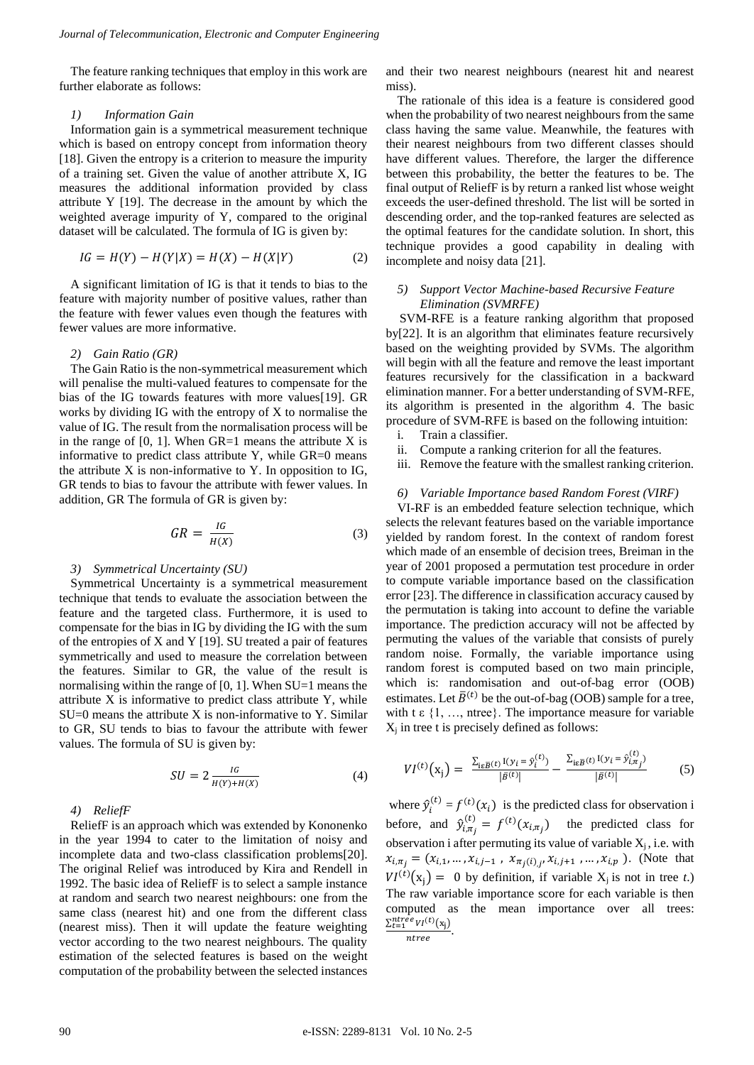The feature ranking techniques that employ in this work are further elaborate as follows:

#### *1) Information Gain*

Information gain is a symmetrical measurement technique which is based on entropy concept from information theory [18]. Given the entropy is a criterion to measure the impurity of a training set. Given the value of another attribute X, IG measures the additional information provided by class attribute Y [19]. The decrease in the amount by which the weighted average impurity of Y, compared to the original dataset will be calculated. The formula of IG is given by:

$$
IG = H(Y) - H(Y|X) = H(X) - H(X|Y)
$$
 (2)

A significant limitation of IG is that it tends to bias to the feature with majority number of positive values, rather than the feature with fewer values even though the features with fewer values are more informative.

## *2) Gain Ratio (GR)*

The Gain Ratio is the non-symmetrical measurement which will penalise the multi-valued features to compensate for the bias of the IG towards features with more values[19]. GR works by dividing IG with the entropy of X to normalise the value of IG. The result from the normalisation process will be in the range of  $[0, 1]$ . When GR=1 means the attribute X is informative to predict class attribute Y, while GR=0 means the attribute  $X$  is non-informative to  $Y$ . In opposition to IG, GR tends to bias to favour the attribute with fewer values. In addition, GR The formula of GR is given by:

$$
GR = \frac{IG}{H(X)}\tag{3}
$$

#### *3) Symmetrical Uncertainty (SU)*

Symmetrical Uncertainty is a symmetrical measurement technique that tends to evaluate the association between the feature and the targeted class. Furthermore, it is used to compensate for the bias in IG by dividing the IG with the sum of the entropies of X and Y [19]. SU treated a pair of features symmetrically and used to measure the correlation between the features. Similar to GR, the value of the result is normalising within the range of [0, 1]. When SU=1 means the attribute X is informative to predict class attribute Y, while  $SU=0$  means the attribute X is non-informative to Y. Similar to GR, SU tends to bias to favour the attribute with fewer values. The formula of SU is given by:

$$
SU = 2 \frac{IG}{H(Y) + H(X)}
$$
(4)

## *4) ReliefF*

ReliefF is an approach which was extended by Kononenko in the year 1994 to cater to the limitation of noisy and incomplete data and two-class classification problems[20]. The original Relief was introduced by Kira and Rendell in 1992. The basic idea of ReliefF is to select a sample instance at random and search two nearest neighbours: one from the same class (nearest hit) and one from the different class (nearest miss). Then it will update the feature weighting vector according to the two nearest neighbours. The quality estimation of the selected features is based on the weight computation of the probability between the selected instances and their two nearest neighbours (nearest hit and nearest miss).

The rationale of this idea is a feature is considered good when the probability of two nearest neighbours from the same class having the same value. Meanwhile, the features with their nearest neighbours from two different classes should have different values. Therefore, the larger the difference between this probability, the better the features to be. The final output of ReliefF is by return a ranked list whose weight exceeds the user-defined threshold. The list will be sorted in descending order, and the top-ranked features are selected as the optimal features for the candidate solution. In short, this technique provides a good capability in dealing with incomplete and noisy data [21].

## *5) Support Vector Machine-based Recursive Feature Elimination (SVMRFE)*

SVM-RFE is a feature ranking algorithm that proposed by[22]. It is an algorithm that eliminates feature recursively based on the weighting provided by SVMs. The algorithm will begin with all the feature and remove the least important features recursively for the classification in a backward elimination manner. For a better understanding of SVM-RFE, its algorithm is presented in the algorithm 4. The basic procedure of SVM-RFE is based on the following intuition:

- i. Train a classifier.
- ii. Compute a ranking criterion for all the features.
- iii. Remove the feature with the smallest ranking criterion.

## *6) Variable Importance based Random Forest (VIRF)*

VI-RF is an embedded feature selection technique, which selects the relevant features based on the variable importance yielded by random forest. In the context of random forest which made of an ensemble of decision trees, Breiman in the year of 2001 proposed a permutation test procedure in order to compute variable importance based on the classification error [23]. The difference in classification accuracy caused by the permutation is taking into account to define the variable importance. The prediction accuracy will not be affected by permuting the values of the variable that consists of purely random noise. Formally, the variable importance using random forest is computed based on two main principle, which is: randomisation and out-of-bag error (OOB) estimates. Let  $\bar{B}^{(t)}$  be the out-of-bag (OOB) sample for a tree, with t  $\varepsilon$  {1, ..., ntree}. The importance measure for variable  $X_i$  in tree t is precisely defined as follows:

$$
VI^{(t)}(x_j) = \frac{\sum_{i \in \overline{B}(t)} I(y_i = \hat{y}_i^{(t)})}{|\bar{B}^{(t)}|} - \frac{\sum_{i \in \overline{B}(t)} I(y_i = \hat{y}_{i, \pi_j}^{(t)})}{|\bar{B}^{(t)}|}
$$
(5)

where  $\hat{y}_i$  $f_i^{(t)} = f^{(t)}(x_i)$  is the predicted class for observation i before, and  $\hat{y}_{i,\pi_j}^{(t)} = f^{(t)}(x_{i,\pi_j})$  the predicted class for observation i after permuting its value of variable  $X_i$ , i.e. with  $x_{i,\pi_j} = (x_{i,1}, \dots, x_{i,j-1}, x_{\pi_j(i),j}, x_{i,j+1}, \dots, x_{i,p})$ . (Note that  $VI^{(t)}(x_j) = 0$  by definition, if variable  $X_j$  is not in tree *t*.) The raw variable importance score for each variable is then computed as the mean importance over all trees:  $\frac{\sum_{t=1}^{ntree} V I^{(t)}(x_j)}{n \cdot \min{t}}$ .

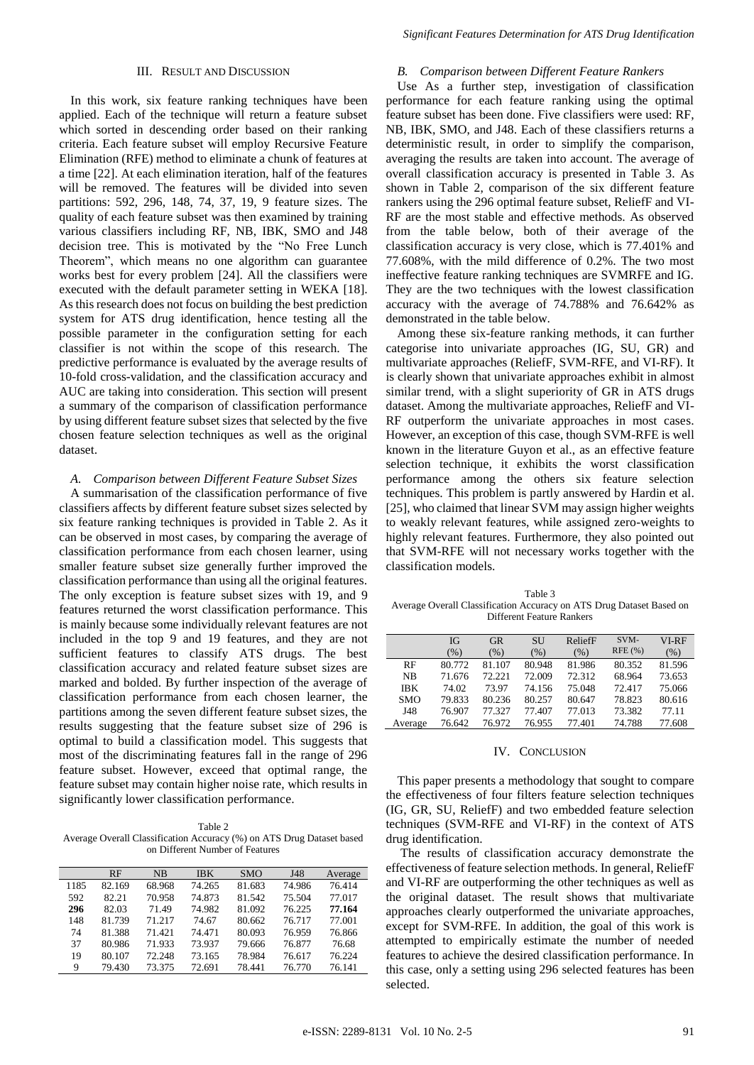## III. RESULT AND DISCUSSION

In this work, six feature ranking techniques have been applied. Each of the technique will return a feature subset which sorted in descending order based on their ranking criteria. Each feature subset will employ Recursive Feature Elimination (RFE) method to eliminate a chunk of features at a time [22]. At each elimination iteration, half of the features will be removed. The features will be divided into seven partitions: 592, 296, 148, 74, 37, 19, 9 feature sizes. The quality of each feature subset was then examined by training various classifiers including RF, NB, IBK, SMO and J48 decision tree. This is motivated by the "No Free Lunch Theorem", which means no one algorithm can guarantee works best for every problem [24]. All the classifiers were executed with the default parameter setting in WEKA [18]. As this research does not focus on building the best prediction system for ATS drug identification, hence testing all the possible parameter in the configuration setting for each classifier is not within the scope of this research. The predictive performance is evaluated by the average results of 10-fold cross-validation, and the classification accuracy and AUC are taking into consideration. This section will present a summary of the comparison of classification performance by using different feature subset sizes that selected by the five chosen feature selection techniques as well as the original dataset.

## *A. Comparison between Different Feature Subset Sizes*

A summarisation of the classification performance of five classifiers affects by different feature subset sizes selected by six feature ranking techniques is provided in Table 2. As it can be observed in most cases, by comparing the average of classification performance from each chosen learner, using smaller feature subset size generally further improved the classification performance than using all the original features. The only exception is feature subset sizes with 19, and 9 features returned the worst classification performance. This is mainly because some individually relevant features are not included in the top 9 and 19 features, and they are not sufficient features to classify ATS drugs. The best classification accuracy and related feature subset sizes are marked and bolded. By further inspection of the average of classification performance from each chosen learner, the partitions among the seven different feature subset sizes, the results suggesting that the feature subset size of 296 is optimal to build a classification model. This suggests that most of the discriminating features fall in the range of 296 feature subset. However, exceed that optimal range, the feature subset may contain higher noise rate, which results in significantly lower classification performance.

Table 2 Average Overall Classification Accuracy (%) on ATS Drug Dataset based on Different Number of Features

|      | RF     | NB.    | <b>IBK</b> | <b>SMO</b> | J48    | Average |
|------|--------|--------|------------|------------|--------|---------|
| 1185 | 82.169 | 68.968 | 74.265     | 81.683     | 74.986 | 76.414  |
| 592  | 82.21  | 70.958 | 74.873     | 81.542     | 75.504 | 77.017  |
| 296  | 82.03  | 71.49  | 74.982     | 81.092     | 76.225 | 77.164  |
| 148  | 81.739 | 71.217 | 74.67      | 80.662     | 76.717 | 77.001  |
| 74   | 81.388 | 71.421 | 74.471     | 80.093     | 76.959 | 76.866  |
| 37   | 80.986 | 71.933 | 73.937     | 79.666     | 76.877 | 76.68   |
| 19   | 80.107 | 72.248 | 73.165     | 78.984     | 76.617 | 76.224  |
| 9    | 79.430 | 73.375 | 72.691     | 78.441     | 76.770 | 76.141  |
|      |        |        |            |            |        |         |

## *B. Comparison between Different Feature Rankers*

Use As a further step, investigation of classification performance for each feature ranking using the optimal feature subset has been done. Five classifiers were used: RF, NB, IBK, SMO, and J48. Each of these classifiers returns a deterministic result, in order to simplify the comparison, averaging the results are taken into account. The average of overall classification accuracy is presented in Table 3. As shown in Table 2, comparison of the six different feature rankers using the 296 optimal feature subset, ReliefF and VI-RF are the most stable and effective methods. As observed from the table below, both of their average of the classification accuracy is very close, which is 77.401% and 77.608%, with the mild difference of 0.2%. The two most ineffective feature ranking techniques are SVMRFE and IG. They are the two techniques with the lowest classification accuracy with the average of 74.788% and 76.642% as demonstrated in the table below.

Among these six-feature ranking methods, it can further categorise into univariate approaches (IG, SU, GR) and multivariate approaches (ReliefF, SVM-RFE, and VI-RF). It is clearly shown that univariate approaches exhibit in almost similar trend, with a slight superiority of GR in ATS drugs dataset. Among the multivariate approaches, ReliefF and VI-RF outperform the univariate approaches in most cases. However, an exception of this case, though SVM-RFE is well known in the literature Guyon et al., as an effective feature selection technique, it exhibits the worst classification performance among the others six feature selection techniques. This problem is partly answered by Hardin et al. [25], who claimed that linear SVM may assign higher weights to weakly relevant features, while assigned zero-weights to highly relevant features. Furthermore, they also pointed out that SVM-RFE will not necessary works together with the classification models.

Table 3 Average Overall Classification Accuracy on ATS Drug Dataset Based on Different Feature Rankers

| <b>IG</b>     | <b>GR</b> | <b>SU</b> | ReliefF | SVM-   | VI-RF  |
|---------------|-----------|-----------|---------|--------|--------|
| $\frac{9}{6}$ | (%)       | $(\%)$    | (%)     |        | $(\%)$ |
| 80.772        | 81.107    | 80.948    | 81.986  | 80.352 | 81.596 |
| 71.676        | 72.221    | 72.009    | 72.312  | 68.964 | 73.653 |
| 74.02         | 73.97     | 74.156    | 75.048  | 72.417 | 75.066 |
| 79.833        | 80.236    | 80.257    | 80.647  | 78.823 | 80.616 |
| 76.907        | 77.327    | 77.407    | 77.013  | 73.382 | 77.11  |
| 76.642        | 76.972    | 76.955    | 77.401  | 74.788 | 77.608 |
|               |           |           |         |        | RFE(%) |

## IV. CONCLUSION

This paper presents a methodology that sought to compare the effectiveness of four filters feature selection techniques (IG, GR, SU, ReliefF) and two embedded feature selection techniques (SVM-RFE and VI-RF) in the context of ATS drug identification.

The results of classification accuracy demonstrate the effectiveness of feature selection methods. In general, ReliefF and VI-RF are outperforming the other techniques as well as the original dataset. The result shows that multivariate approaches clearly outperformed the univariate approaches, except for SVM-RFE. In addition, the goal of this work is attempted to empirically estimate the number of needed features to achieve the desired classification performance. In this case, only a setting using 296 selected features has been selected.